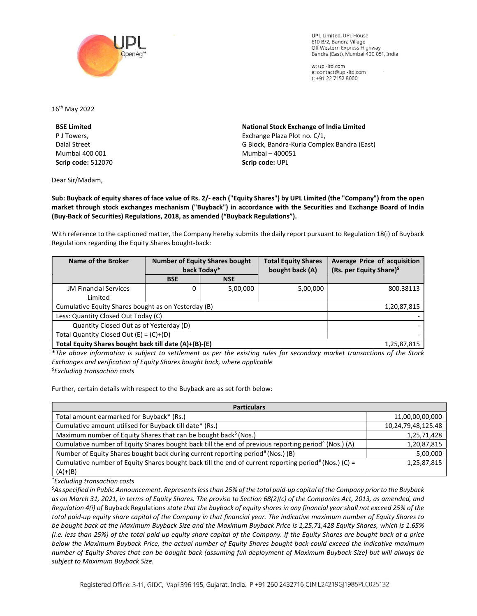

**UPL Limited. UPL House** 610 B/2, Bandra Village Off Western Express Highway Bandra (East), Mumbai 400 051, India

w: upl-ltd.com e: contact@upl-ltd.com t: +91 22 7152 8000

16th May 2022

BSE Limited P J Towers, Dalal Street Mumbai 400 001 Scrip code: 512070

Dear Sir/Madam,

National Stock Exchange of India Limited Exchange Plaza Plot no. C/1, G Block, Bandra-Kurla Complex Bandra (East) Mumbai – 400051 Scrip code: UPL

Sub: Buyback of equity shares of face value of Rs. 2/- each ("Equity Shares") by UPL Limited (the "Company") from the open market through stock exchanges mechanism ("Buyback") in accordance with the Securities and Exchange Board of India (Buy-Back of Securities) Regulations, 2018, as amended ("Buyback Regulations").

With reference to the captioned matter, the Company hereby submits the daily report pursuant to Regulation 18(i) of Buyback Regulations regarding the Equity Shares bought-back:

| Name of the Broker                                    | <b>Number of Equity Shares bought</b><br>back Today* |            | <b>Total Equity Shares</b><br>bought back (A) | Average Price of acquisition<br>(Rs. per Equity Share) <sup>\$</sup> |
|-------------------------------------------------------|------------------------------------------------------|------------|-----------------------------------------------|----------------------------------------------------------------------|
|                                                       | <b>BSE</b>                                           | <b>NSE</b> |                                               |                                                                      |
| <b>JM Financial Services</b>                          | 0                                                    | 5,00,000   | 5,00,000                                      | 800.38113                                                            |
| Limited                                               |                                                      |            |                                               |                                                                      |
| Cumulative Equity Shares bought as on Yesterday (B)   |                                                      |            |                                               | 1,20,87,815                                                          |
| Less: Quantity Closed Out Today (C)                   |                                                      |            |                                               |                                                                      |
| Quantity Closed Out as of Yesterday (D)               |                                                      |            |                                               |                                                                      |
| Total Quantity Closed Out $(E) = (C)+(D)$             |                                                      |            |                                               |                                                                      |
| Total Equity Shares bought back till date (A)+(B)-(E) |                                                      |            |                                               | 1,25,87,815                                                          |

\*The above information is subject to settlement as per the existing rules for secondary market transactions of the Stock Exchanges and verification of Equity Shares bought back, where applicable  $<sup>5</sup>$ Excluding transaction costs</sup>

Further, certain details with respect to the Buyback are as set forth below:

| <b>Particulars</b>                                                                                                |                    |  |  |  |
|-------------------------------------------------------------------------------------------------------------------|--------------------|--|--|--|
| Total amount earmarked for Buyback* (Rs.)                                                                         | 11,00,00,00,000    |  |  |  |
| Cumulative amount utilised for Buyback till date* (Rs.)                                                           | 10,24,79,48,125.48 |  |  |  |
| Maximum number of Equity Shares that can be bought back <sup>\$</sup> (Nos.)                                      | 1,25,71,428        |  |  |  |
| Cumulative number of Equity Shares bought back till the end of previous reporting period <sup>^</sup> (Nos.) (A)  | 1,20,87,815        |  |  |  |
| Number of Equity Shares bought back during current reporting period# (Nos.) (B)                                   | 5,00,000           |  |  |  |
| Cumulative number of Equity Shares bought back till the end of current reporting period <sup>#</sup> (Nos.) (C) = | 1,25,87,815        |  |  |  |
| $(A)+(B)$                                                                                                         |                    |  |  |  |

\*Excluding transaction costs

 ${}^5$ As specified in Public Announcement. Represents less than 25% of the total paid-up capital of the Company prior to the Buyback as on March 31, 2021, in terms of Equity Shares. The proviso to Section 68(2)(c) of the Companies Act, 2013, as amended, and Regulation 4(i) of Buyback Regulations state that the buyback of equity shares in any financial year shall not exceed 25% of the total paid-up equity share capital of the Company in that financial year. The indicative maximum number of Equity Shares to be bought back at the Maximum Buyback Size and the Maximum Buyback Price is 1,25,71,428 Equity Shares, which is 1.65% (i.e. less than 25%) of the total paid up equity share capital of the Company. If the Equity Shares are bought back at a price below the Maximum Buyback Price, the actual number of Equity Shares bought back could exceed the indicative maximum number of Equity Shares that can be bought back (assuming full deployment of Maximum Buyback Size) but will always be subject to Maximum Buyback Size.